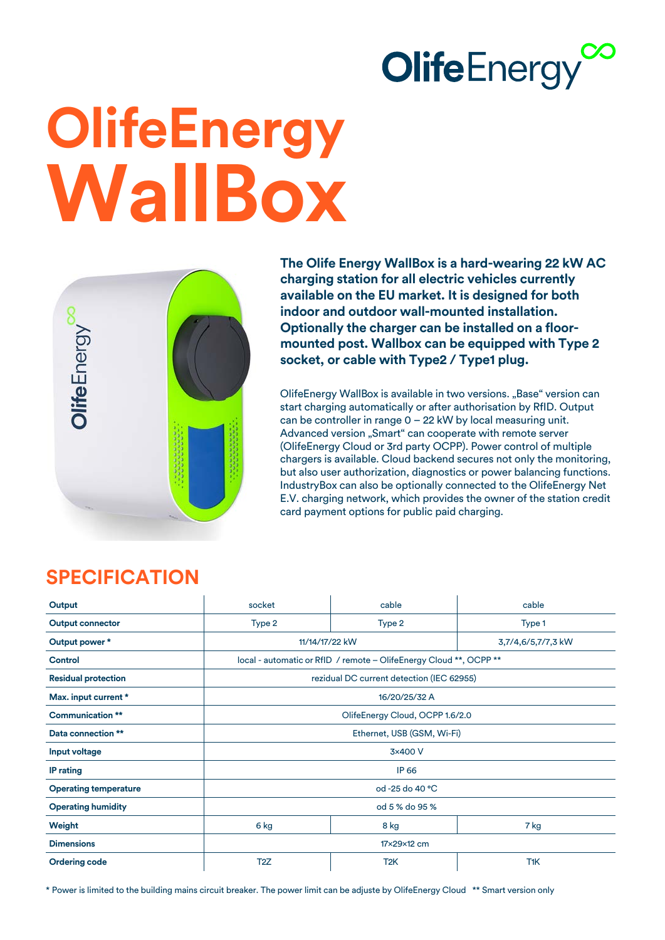## **OlifeEnergy**

# **OlifeEnergy WallBox**



**The Olife Energy WallBox is a hard-wearing 22 kW AC charging station for all electric vehicles currently available on the EU market. It is designed for both indoor and outdoor wall-mounted installation. Optionally the charger can be installed on a floormounted post. Wallbox can be equipped with Type 2 socket, or cable with Type2 / Type1 plug.**

OlifeEnergy WallBox is available in two versions. "Base" version can start charging automatically or after authorisation by RfID. Output can be controller in range 0 – 22 kW by local measuring unit. Advanced version "Smart" can cooperate with remote server (OlifeEnergy Cloud or 3rd party OCPP). Power control of multiple chargers is available. Cloud backend secures not only the monitoring, but also user authorization, diagnostics or power balancing functions. IndustryBox can also be optionally connected to the OlifeEnergy Net E.V. charging network, which provides the owner of the station credit card payment options for public paid charging.

### **SPECIFICATION**

| Output                       | socket                                                             | cable            | cable              |
|------------------------------|--------------------------------------------------------------------|------------------|--------------------|
| <b>Output connector</b>      | Type 2                                                             | Type 2           | Type 1             |
| Output power*                | 11/14/17/22 kW                                                     |                  | 3,7/4,6/5,7/7,3 kW |
| Control                      | local - automatic or RfID / remote - OlifeEnergy Cloud **, OCPP ** |                  |                    |
| <b>Residual protection</b>   | rezidual DC current detection (IEC 62955)                          |                  |                    |
| Max. input current *         | 16/20/25/32 A                                                      |                  |                    |
| <b>Communication **</b>      | OlifeEnergy Cloud, OCPP 1.6/2.0                                    |                  |                    |
| Data connection **           | Ethernet, USB (GSM, Wi-Fi)                                         |                  |                    |
| Input voltage                | 3×400 V                                                            |                  |                    |
| <b>IP</b> rating             | <b>IP 66</b>                                                       |                  |                    |
| <b>Operating temperature</b> | od -25 do 40 °C                                                    |                  |                    |
| <b>Operating humidity</b>    | od 5 % do 95 %                                                     |                  |                    |
| Weight                       | 6 kg                                                               | 8 kg             | 7 kg               |
| <b>Dimensions</b>            | 17×29×12 cm                                                        |                  |                    |
| <b>Ordering code</b>         | T <sub>2</sub> Z                                                   | T <sub>2</sub> K | T <sub>1</sub> K   |

\* Power is limited to the building mains circuit breaker. The power limit can be adjuste by OlifeEnergy Cloud \*\* Smart version only